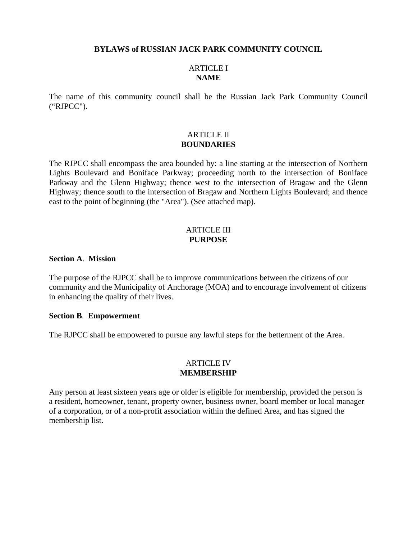#### **BYLAWS of RUSSIAN JACK PARK COMMUNITY COUNCIL**

## ARTICLE I **NAME**

The name of this community council shall be the Russian Jack Park Community Council ("RJPCC").

## ARTICLE II **BOUNDARIES**

The RJPCC shall encompass the area bounded by: a line starting at the intersection of Northern Lights Boulevard and Boniface Parkway; proceeding north to the intersection of Boniface Parkway and the Glenn Highway; thence west to the intersection of Bragaw and the Glenn Highway; thence south to the intersection of Bragaw and Northern Lights Boulevard; and thence east to the point of beginning (the "Area"). (See attached map).

### ARTICLE III **PURPOSE**

## **Section A**. **Mission**

The purpose of the RJPCC shall be to improve communications between the citizens of our community and the Municipality of Anchorage (MOA) and to encourage involvement of citizens in enhancing the quality of their lives.

#### **Section B**. **Empowerment**

The RJPCC shall be empowered to pursue any lawful steps for the betterment of the Area.

## ARTICLE IV **MEMBERSHIP**

Any person at least sixteen years age or older is eligible for membership, provided the person is a resident, homeowner, tenant, property owner, business owner, board member or local manager of a corporation, or of a non-profit association within the defined Area, and has signed the membership list.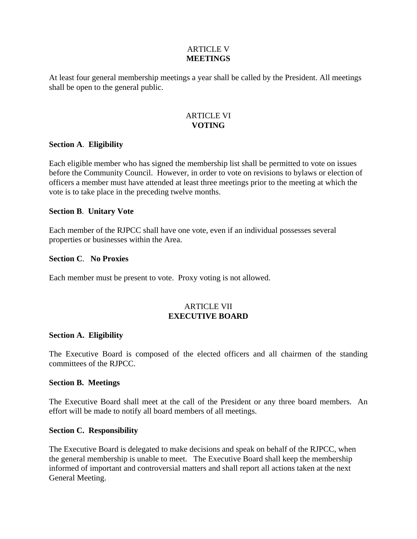## ARTICLE V **MEETINGS**

At least four general membership meetings a year shall be called by the President. All meetings shall be open to the general public.

## ARTICLE VI **VOTING**

## **Section A**. **Eligibility**

Each eligible member who has signed the membership list shall be permitted to vote on issues before the Community Council. However, in order to vote on revisions to bylaws or election of officers a member must have attended at least three meetings prior to the meeting at which the vote is to take place in the preceding twelve months.

## **Section B**. **Unitary Vote**

Each member of the RJPCC shall have one vote, even if an individual possesses several properties or businesses within the Area.

## **Section C**. **No Proxies**

Each member must be present to vote. Proxy voting is not allowed.

## ARTICLE VII **EXECUTIVE BOARD**

## **Section A. Eligibility**

The Executive Board is composed of the elected officers and all chairmen of the standing committees of the RJPCC.

## **Section B. Meetings**

The Executive Board shall meet at the call of the President or any three board members. An effort will be made to notify all board members of all meetings.

## **Section C. Responsibility**

The Executive Board is delegated to make decisions and speak on behalf of the RJPCC, when the general membership is unable to meet. The Executive Board shall keep the membership informed of important and controversial matters and shall report all actions taken at the next General Meeting.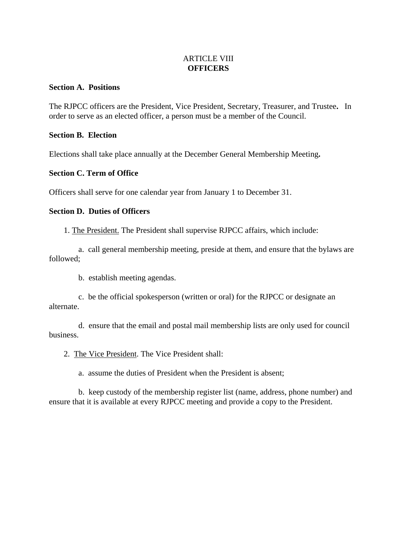## ARTICLE VIII **OFFICERS**

#### **Section A. Positions**

The RJPCC officers are the President, Vice President, Secretary, Treasurer, and Trustee**.** In order to serve as an elected officer, a person must be a member of the Council.

#### **Section B. Election**

Elections shall take place annually at the December General Membership Meeting**.** 

## **Section C. Term of Office**

Officers shall serve for one calendar year from January 1 to December 31.

### **Section D. Duties of Officers**

1. The President. The President shall supervise RJPCC affairs, which include:

 a. call general membership meeting, preside at them, and ensure that the bylaws are followed;

b. establish meeting agendas.

 c. be the official spokesperson (written or oral) for the RJPCC or designate an alternate.

 d. ensure that the email and postal mail membership lists are only used for council business.

2. The Vice President. The Vice President shall:

a. assume the duties of President when the President is absent;

 b. keep custody of the membership register list (name, address, phone number) and ensure that it is available at every RJPCC meeting and provide a copy to the President.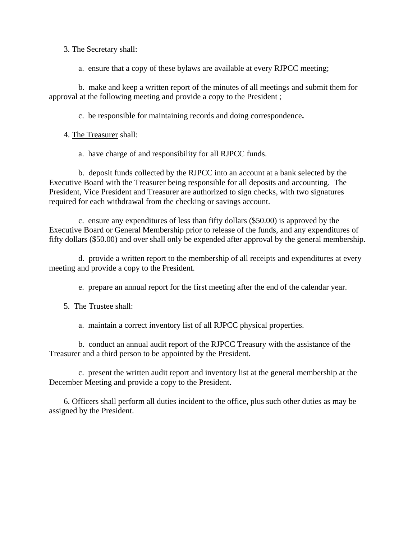## 3. The Secretary shall:

a. ensure that a copy of these bylaws are available at every RJPCC meeting;

 b. make and keep a written report of the minutes of all meetings and submit them for approval at the following meeting and provide a copy to the President ;

c. be responsible for maintaining records and doing correspondence**.**

4. The Treasurer shall:

a.have charge of and responsibility for all RJPCC funds.

 b. deposit funds collected by the RJPCC into an account at a bank selected by the Executive Board with the Treasurer being responsible for all deposits and accounting. The President, Vice President and Treasurer are authorized to sign checks, with two signatures required for each withdrawal from the checking or savings account.

 c. ensure any expenditures of less than fifty dollars (\$50.00) is approved by the Executive Board or General Membership prior to release of the funds, and any expenditures of fifty dollars (\$50.00) and over shall only be expended after approval by the general membership.

 d. provide a written report to the membership of all receipts and expenditures at every meeting and provide a copy to the President.

e. prepare an annual report for the first meeting after the end of the calendar year.

5. The Trustee shall:

a. maintain a correct inventory list of all RJPCC physical properties.

 b. conduct an annual audit report of the RJPCC Treasury with the assistance of the Treasurer and a third person to be appointed by the President.

 c. present the written audit report and inventory list at the general membership at the December Meeting and provide a copy to the President.

 6. Officers shall perform all duties incident to the office, plus such other duties as may be assigned by the President.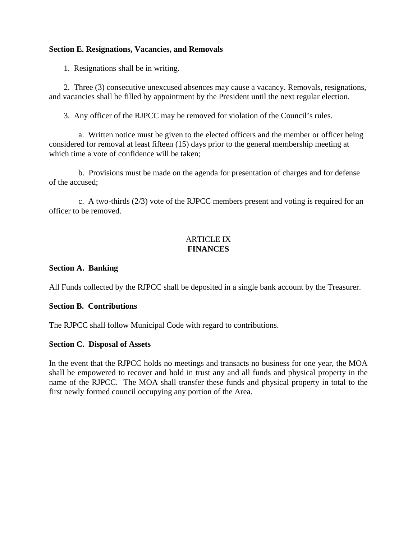## **Section E. Resignations, Vacancies, and Removals**

1. Resignations shall be in writing.

 2. Three (3) consecutive unexcused absences may cause a vacancy. Removals, resignations, and vacancies shall be filled by appointment by the President until the next regular election.

3. Any officer of the RJPCC may be removed for violation of the Council's rules.

 a. Written notice must be given to the elected officers and the member or officer being considered for removal at least fifteen (15) days prior to the general membership meeting at which time a vote of confidence will be taken;

 b. Provisions must be made on the agenda for presentation of charges and for defense of the accused;

 c. A two-thirds (2/3) vote of the RJPCC members present and voting is required for an officer to be removed.

# **ARTICLE IX FINANCES**

## **Section A. Banking**

All Funds collected by the RJPCC shall be deposited in a single bank account by the Treasurer.

## **Section B. Contributions**

The RJPCC shall follow Municipal Code with regard to contributions.

## **Section C. Disposal of Assets**

In the event that the RJPCC holds no meetings and transacts no business for one year, the MOA shall be empowered to recover and hold in trust any and all funds and physical property in the name of the RJPCC. The MOA shall transfer these funds and physical property in total to the first newly formed council occupying any portion of the Area.